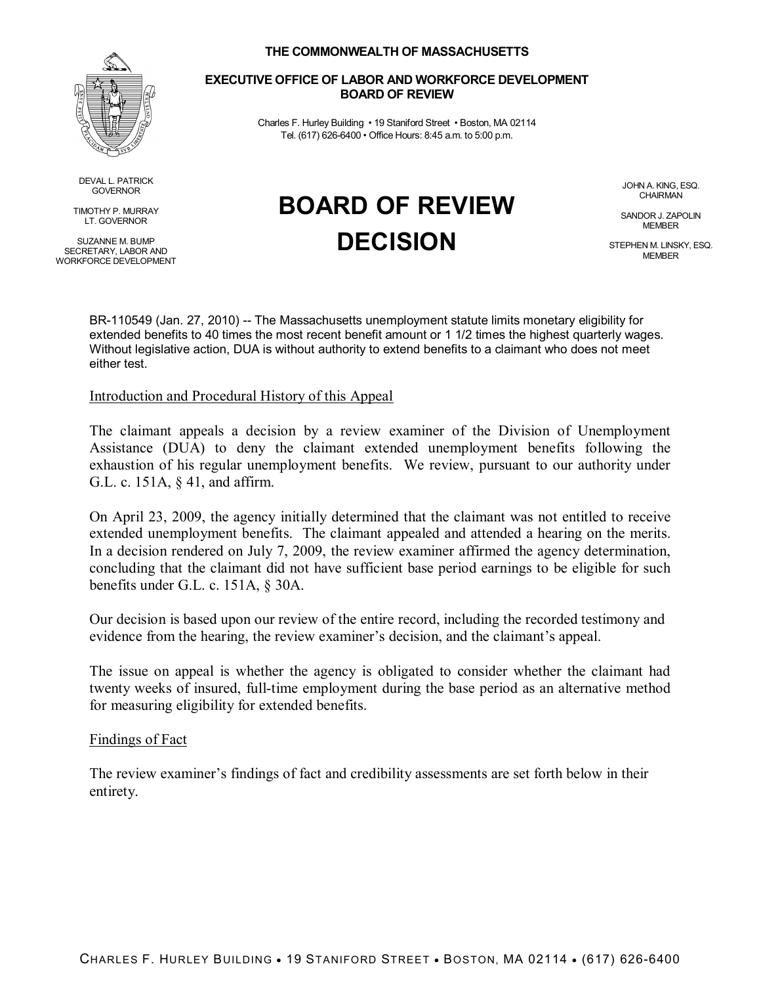

DEVAL L. PATRICK GOVERNOR

TIMOTHY P. MURRAY LT. GOVERNOR

SUZANNE M. BUMP SECRETARY, LABOR AND WORKFORCE DEVELOPMENT

### **THE COMMONWEALTH OF MASSACHUSETTS**

#### **EXECUTIVE OFFICE OF LABOR AND WORKFORCE DEVELOPMENT BOARD OF REVIEW**

Charles F. Hurley Building • 19 Staniford Street • Boston, MA 02114 Tel. (617) 626-6400 • Office Hours: 8:45 a.m. to 5:00 p.m.

**BOARD OF REVIEW**

**DECISION**

JOHN A. KING, ESQ. **CHAIRMAN** 

SANDOR J. ZAPOLIN **MEMBER** 

STEPHEN M. LINSKY, ESQ. **MEMBER** 

BR-110549 (Jan. 27, 2010) -- The Massachusetts unemployment statute limits monetary eligibility for extended benefits to 40 times the most recent benefit amount or 1 1/2 times the highest quarterly wages. Without legislative action, DUA is without authority to extend benefits to a claimant who does not meet either test.

## Introduction and Procedural History of this Appeal

The claimant appeals a decision by a review examiner of the Division of Unemployment Assistance (DUA) to deny the claimant extended unemployment benefits following the exhaustion of his regular unemployment benefits. We review, pursuant to our authority under G.L. c. 151A, § 41, and affirm.

On April 23, 2009, the agency initially determined that the claimant was not entitled to receive extended unemployment benefits. The claimant appealed and attended a hearing on the merits. In a decision rendered on July 7, 2009, the review examiner affirmed the agency determination, concluding that the claimant did not have sufficient base period earnings to be eligible for such benefits under G.L. c. 151A, § 30A.

Our decision is based upon our review of the entire record, including the recorded testimony and evidence from the hearing, the review examiner's decision, and the claimant's appeal.

The issue on appeal is whether the agency is obligated to consider whether the claimant had twenty weeks of insured, full-time employment during the base period as an alternative method for measuring eligibility for extended benefits.

### Findings of Fact

The review examiner's findings of fact and credibility assessments are set forth below in their entirety.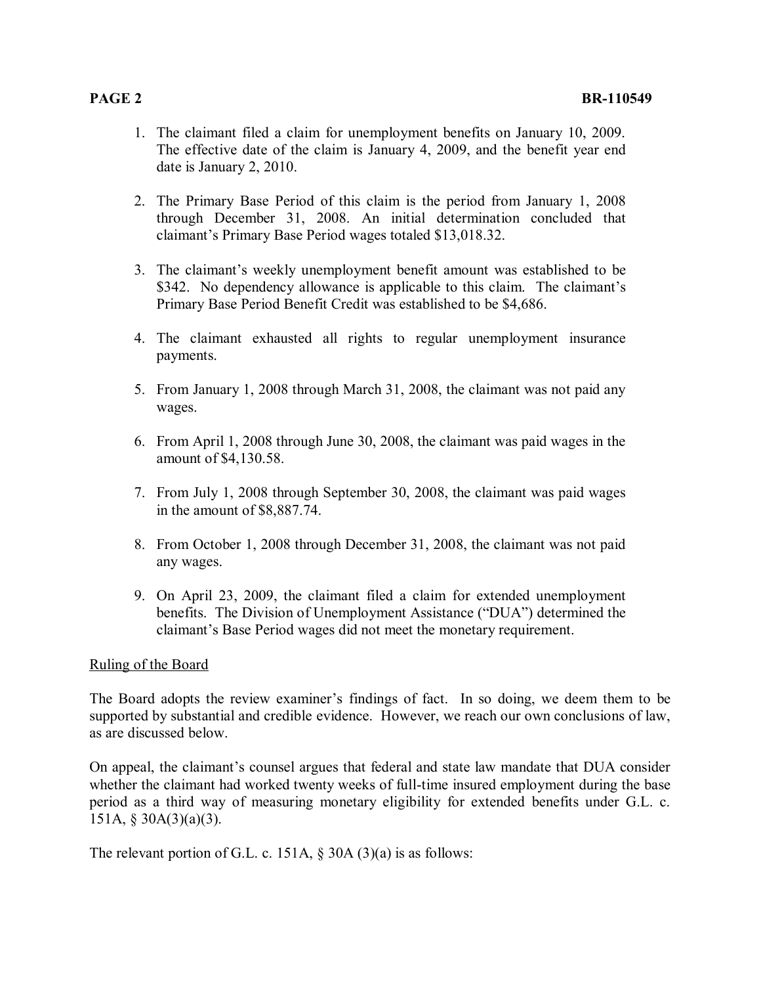- 1. The claimant filed a claim for unemployment benefits on January 10, 2009. The effective date of the claim is January 4, 2009, and the benefit year end date is January 2, 2010.
- 2. The Primary Base Period of this claim is the period from January 1, 2008 through December 31, 2008. An initial determination concluded that claimant's Primary Base Period wages totaled \$13,018.32.
- 3. The claimant's weekly unemployment benefit amount was established to be \$342. No dependency allowance is applicable to this claim. The claimant's Primary Base Period Benefit Credit was established to be \$4,686.
- 4. The claimant exhausted all rights to regular unemployment insurance payments.
- 5. From January 1, 2008 through March 31, 2008, the claimant was not paid any wages.
- 6. From April 1, 2008 through June 30, 2008, the claimant was paid wages in the amount of \$4,130.58.
- 7. From July 1, 2008 through September 30, 2008, the claimant was paid wages in the amount of \$8,887.74.
- 8. From October 1, 2008 through December 31, 2008, the claimant was not paid any wages.
- 9. On April 23, 2009, the claimant filed a claim for extended unemployment benefits. The Division of Unemployment Assistance ("DUA") determined the claimant's Base Period wages did not meet the monetary requirement.

# Ruling of the Board

The Board adopts the review examiner's findings of fact. In so doing, we deem them to be supported by substantial and credible evidence. However, we reach our own conclusions of law, as are discussed below.

On appeal, the claimant's counsel argues that federal and state law mandate that DUA consider whether the claimant had worked twenty weeks of full-time insured employment during the base period as a third way of measuring monetary eligibility for extended benefits under G.L. c. 151A, § 30A(3)(a)(3).

The relevant portion of G.L. c. 151A,  $\S$  30A (3)(a) is as follows: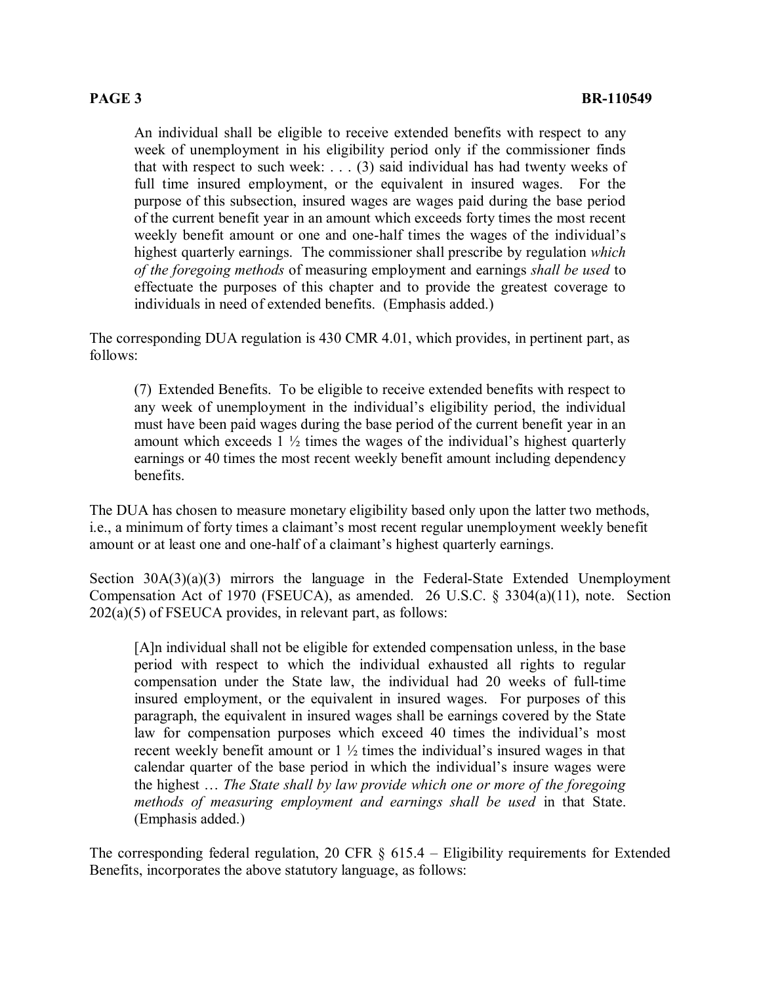An individual shall be eligible to receive extended benefits with respect to any week of unemployment in his eligibility period only if the commissioner finds that with respect to such week:  $\ldots$  (3) said individual has had twenty weeks of full time insured employment, or the equivalent in insured wages. For the purpose of this subsection, insured wages are wages paid during the base period of the current benefit year in an amount which exceeds forty times the most recent weekly benefit amount or one and one-half times the wages of the individual's highest quarterly earnings. The commissioner shall prescribe by regulation *which of the foregoing methods* of measuring employment and earnings *shall be used* to effectuate the purposes of this chapter and to provide the greatest coverage to individuals in need of extended benefits. (Emphasis added.)

The corresponding DUA regulation is 430 CMR 4.01, which provides, in pertinent part, as follows:

(7) Extended Benefits. To be eligible to receive extended benefits with respect to any week of unemployment in the individual's eligibility period, the individual must have been paid wages during the base period of the current benefit year in an amount which exceeds  $1\frac{1}{2}$  times the wages of the individual's highest quarterly earnings or 40 times the most recent weekly benefit amount including dependency benefits.

The DUA has chosen to measure monetary eligibility based only upon the latter two methods, i.e., a minimum of forty times a claimant's most recent regular unemployment weekly benefit amount or at least one and one-half of a claimant's highest quarterly earnings.

Section 30A(3)(a)(3) mirrors the language in the Federal-State Extended Unemployment Compensation Act of 1970 (FSEUCA), as amended. 26 U.S.C. § 3304(a)(11), note. Section 202(a)(5) of FSEUCA provides, in relevant part, as follows:

[A]n individual shall not be eligible for extended compensation unless, in the base period with respect to which the individual exhausted all rights to regular compensation under the State law, the individual had 20 weeks of full-time insured employment, or the equivalent in insured wages. For purposes of this paragraph, the equivalent in insured wages shall be earnings covered by the State law for compensation purposes which exceed 40 times the individual's most recent weekly benefit amount or  $1\frac{1}{2}$  times the individual's insured wages in that calendar quarter of the base period in which the individual's insure wages were the highest … *The State shall by law provide which one or more of the foregoing methods of measuring employment and earnings shall be used* in that State. (Emphasis added.)

The corresponding federal regulation, 20 CFR  $\S$  615.4 – Eligibility requirements for Extended Benefits, incorporates the above statutory language, as follows: